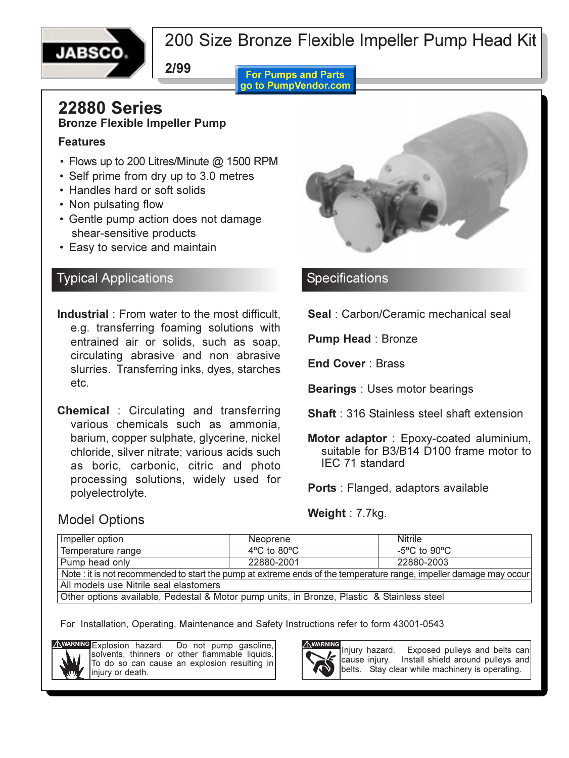

## 200 Size Bronze Flexible Impeller Pump Head Kit

**2/99**

**For Pumps and Parts** go to PumpVendor.com

### **22880 Series Bronze Flexible Impeller Pump**

#### **Features**

- Flows up to 200 Litres/Minute @ 1500 RPM
- Self prime from dry up to 3.0 metres
- Handles hard or soft solids
- Non pulsating flow
- Gentle pump action does not damage shear-sensitive products
- Easy to service and maintain

## Typical Applications

- **Industrial** : From water to the most difficult, e.g. transferring foaming solutions with entrained air or solids, such as soap, circulating abrasive and non abrasive slurries. Transferring inks, dyes, starches etc.
- **Chemical** : Circulating and transferring various chemicals such as ammonia, barium, copper sulphate, glycerine, nickel chloride, silver nitrate; various acids such as boric, carbonic, citric and photo processing solutions, widely used for polyelectrolyte.



### **Specifications**

**Seal** : Carbon/Ceramic mechanical seal

**Pump Head** : Bronze

**End Cover** : Brass

**Bearings** : Uses motor bearings

**Shaft** : 316 Stainless steel shaft extension

**Motor adaptor** : Epoxy-coated aluminium, suitable for B3/B14 D100 frame motor to IEC 71 standard

**Ports** : Flanged, adaptors available

**Weight** : 7.7kg.

### Model Options

| Impeller option                                                                                                    | Neoprene                         | <b>Nitrile</b>                    |  |  |  |  |
|--------------------------------------------------------------------------------------------------------------------|----------------------------------|-----------------------------------|--|--|--|--|
| Temperature range                                                                                                  | $4^{\circ}$ C to 80 $^{\circ}$ C | $-5^{\circ}$ C to 90 $^{\circ}$ C |  |  |  |  |
| Pump head only                                                                                                     | 22880-2001                       | 22880-2003                        |  |  |  |  |
| Note : it is not recommended to start the pump at extreme ends of the temperature range, impeller damage may occur |                                  |                                   |  |  |  |  |
| All models use Nitrile seal elastomers                                                                             |                                  |                                   |  |  |  |  |
| Other options available, Pedestal & Motor pump units, in Bronze, Plastic & Stainless steel                         |                                  |                                   |  |  |  |  |

For Installation, Operating, Maintenance and Safety Instructions refer to form 43001-0543



Explosion hazard. Do not pump gasoline, solvents, thinners or other flammable liquids. To do so can cause an explosion resulting in injury or death.



Injury hazard. Exposed pulleys and belts can cause injury. Install shield around pulleys and belts. Stay clear while machinery is operating.